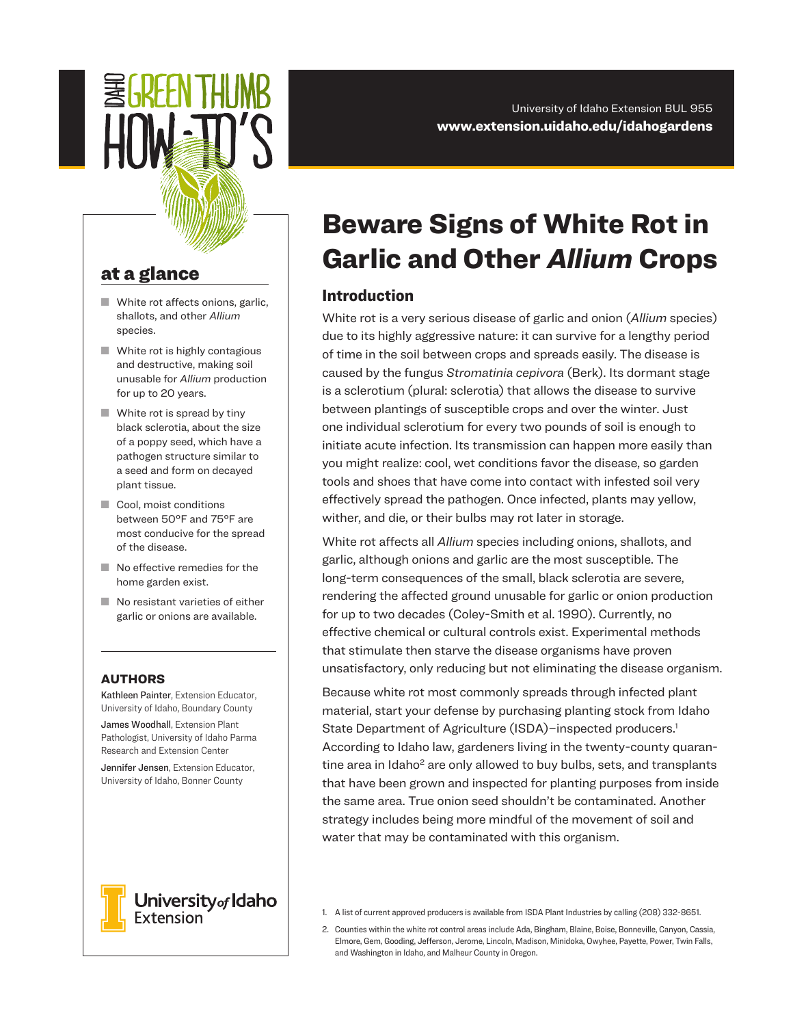# 氢GKFFU HANR

#### University of Idaho Extension BUL 955 www.extension.uidaho.edu/idahogardens

# at a glance

- $\blacksquare$  White rot affects onions, garlic, shallots, and other *Allium* species.
- $\blacksquare$  White rot is highly contagious and destructive, making soil unusable for *Allium* production for up to 20 years.
- $\blacksquare$  White rot is spread by tiny black sclerotia, about the size of a poppy seed, which have a pathogen structure similar to a seed and form on decayed plant tissue.
- Cool, moist conditions between 50°F and 75°F are most conducive for the spread of the disease.
- $\blacksquare$  No effective remedies for the home garden exist.
- $\blacksquare$  No resistant varieties of either garlic or onions are available.

#### AUTHORS

Kathleen Painter, Extension Educator, University of Idaho, Boundary County

James Woodhall, Extension Plant Pathologist, University of Idaho Parma Research and Extension Center

Jennifer Jensen, Extension Educator, University of Idaho, Bonner County



University<sub>of</sub> Idaho **Extension** 

# Beware Signs of White Rot in Garlic and Other *Allium* Crops

# Introduction

White rot is a very serious disease of garlic and onion (*Allium* species) due to its highly aggressive nature: it can survive for a lengthy period of time in the soil between crops and spreads easily. The disease is caused by the fungus *Stromatinia cepivora* (Berk). Its dormant stage is a sclerotium (plural: sclerotia) that allows the disease to survive between plantings of susceptible crops and over the winter. Just one individual sclerotium for every two pounds of soil is enough to initiate acute infection. Its transmission can happen more easily than you might realize: cool, wet conditions favor the disease, so garden tools and shoes that have come into contact with infested soil very effectively spread the pathogen. Once infected, plants may yellow, wither, and die, or their bulbs may rot later in storage.

White rot affects all *Allium* species including onions, shallots, and garlic, although onions and garlic are the most susceptible. The long-term consequences of the small, black sclerotia are severe, rendering the affected ground unusable for garlic or onion production for up to two decades (Coley-Smith et al. 1990). Currently, no effective chemical or cultural controls exist. Experimental methods that stimulate then starve the disease organisms have proven unsatisfactory, only reducing but not eliminating the disease organism.

Because white rot most commonly spreads through infected plant material, start your defense by purchasing planting stock from Idaho State Department of Agriculture (ISDA)-inspected producers.<sup>1</sup> According to Idaho law, gardeners living in the twenty-county quarantine area in Idaho<sup>2</sup> are only allowed to buy bulbs, sets, and transplants that have been grown and inspected for planting purposes from inside the same area. True onion seed shouldn't be contaminated. Another strategy includes being more mindful of the movement of soil and water that may be contaminated with this organism.

- 1. A list of current approved producers is available from ISDA Plant Industries by calling (208) 332-8651.
- 2. Counties within the white rot control areas include Ada, Bingham, Blaine, Boise, Bonneville, Canyon, Cassia, Elmore, Gem, Gooding, Jefferson, Jerome, Lincoln, Madison, Minidoka, Owyhee, Payette, Power, Twin Falls, and Washington in Idaho, and Malheur County in Oregon.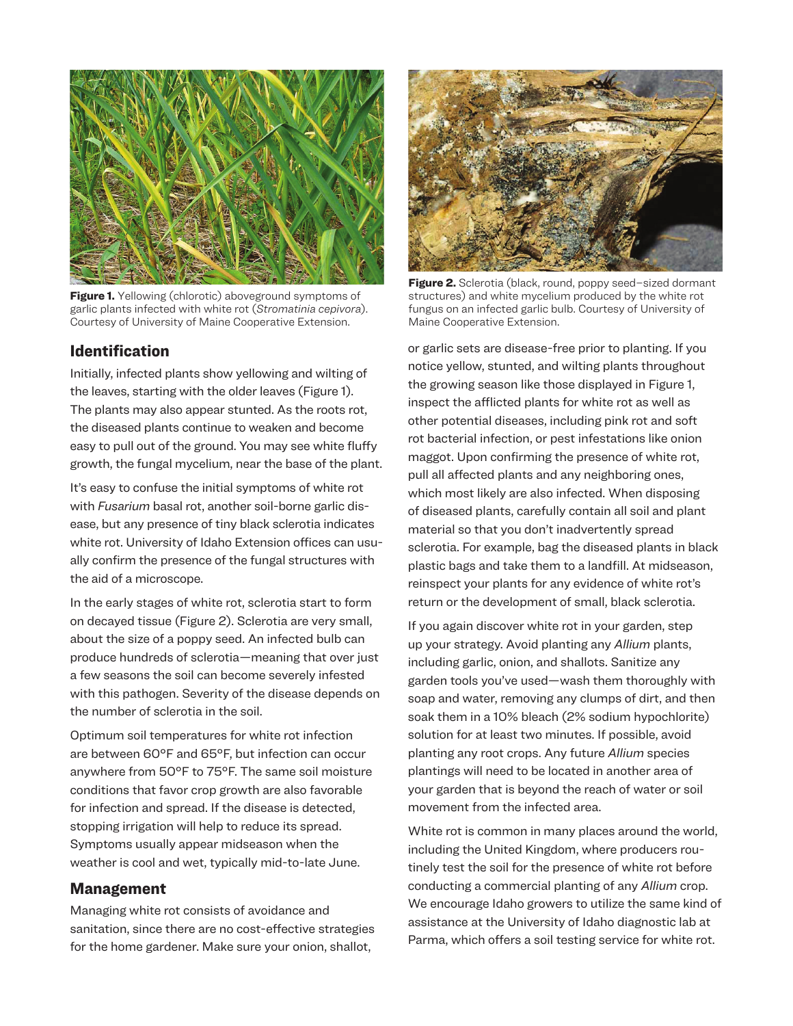

**Figure 1.** Yellowing (chlorotic) aboveground symptoms of garlic plants infected with white rot (*Stromatinia cepivora*). Courtesy of University of Maine Cooperative Extension.

### Identification

Initially, infected plants show yellowing and wilting of the leaves, starting with the older leaves (Figure 1). The plants may also appear stunted. As the roots rot, the diseased plants continue to weaken and become easy to pull out of the ground. You may see white fluffy growth, the fungal mycelium, near the base of the plant.

It's easy to confuse the initial symptoms of white rot with *Fusarium* basal rot, another soil-borne garlic disease, but any presence of tiny black sclerotia indicates white rot. University of Idaho Extension offices can usually confirm the presence of the fungal structures with the aid of a microscope.

In the early stages of white rot, sclerotia start to form on decayed tissue (Figure 2). Sclerotia are very small, about the size of a poppy seed. An infected bulb can produce hundreds of sclerotia—meaning that over just a few seasons the soil can become severely infested with this pathogen. Severity of the disease depends on the number of sclerotia in the soil.

Optimum soil temperatures for white rot infection are between 60°F and 65°F, but infection can occur anywhere from 50°F to 75°F. The same soil moisture conditions that favor crop growth are also favorable for infection and spread. If the disease is detected, stopping irrigation will help to reduce its spread. Symptoms usually appear midseason when the weather is cool and wet, typically mid-to-late June.

#### Management

Managing white rot consists of avoidance and sanitation, since there are no cost-effective strategies for the home gardener. Make sure your onion, shallot,



Figure 2. Sclerotia (black, round, poppy seed-sized dormant structures) and white mycelium produced by the white rot fungus on an infected garlic bulb. Courtesy of University of Maine Cooperative Extension.

or garlic sets are disease-free prior to planting. If you notice yellow, stunted, and wilting plants throughout the growing season like those displayed in Figure 1, inspect the afflicted plants for white rot as well as other potential diseases, including pink rot and soft rot bacterial infection, or pest infestations like onion maggot. Upon confirming the presence of white rot, pull all affected plants and any neighboring ones, which most likely are also infected. When disposing of diseased plants, carefully contain all soil and plant material so that you don't inadvertently spread sclerotia. For example, bag the diseased plants in black plastic bags and take them to a landfill. At midseason, reinspect your plants for any evidence of white rot's return or the development of small, black sclerotia.

If you again discover white rot in your garden, step up your strategy. Avoid planting any *Allium* plants, including garlic, onion, and shallots. Sanitize any garden tools you've used—wash them thoroughly with soap and water, removing any clumps of dirt, and then soak them in a 10% bleach (2% sodium hypochlorite) solution for at least two minutes. If possible, avoid planting any root crops. Any future *Allium* species plantings will need to be located in another area of your garden that is beyond the reach of water or soil movement from the infected area.

White rot is common in many places around the world, including the United Kingdom, where producers routinely test the soil for the presence of white rot before conducting a commercial planting of any *Allium* crop. We encourage Idaho growers to utilize the same kind of assistance at the University of Idaho diagnostic lab at Parma, which offers a soil testing service for white rot.